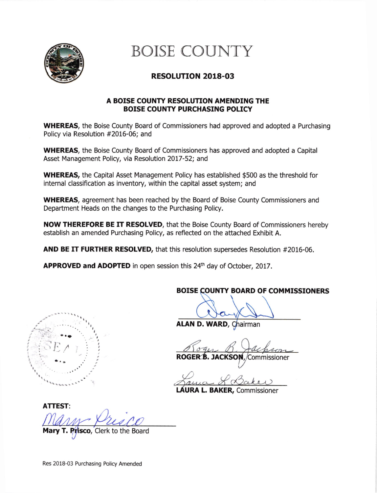

# BOISE COUNTY

## RESOLUTION 2018.03

### A BOISE COUNTY RESOLUTION AMENDING THE BOISE COUNTY PURCHASING POLICY

WHEREAS, the Boise County Board of Commissioners had approved and adopted a Purchasing Policy via Resolution #2016-06; and

WHEREAS, the Boise County Board of Commissioners has approved and adopted a Capital Asset Management Policy, via Resolution 2017-52; and

WHEREAS, the Capital Asset Management Policy has established \$500 as the threshold for internal classification as inventory, within the capital asset system; and

WHEREAS, agreement has been reached by the Board of Boise County Commissioners and Department Heads on the changes to the Purchasing Policy.

NOW THEREFORE BE IT RESOLVED, that the Boise County Board of Commissioners hereby establish an amended Purchasing Policy, as reflected on the attached Exhibit A.

AND BE IT FURTHER RESOLVED, that this resolution supersedes Resolution #2016-06.

APPROVED and ADOPTED in open session this 24<sup>th</sup> day of October, 2017.



## BOISE COUNTY BOARD OF COMMISSIONERS

ALAN D. WARD, Chairman

ROGE JACKSON, /Commissioner

LAURA L. BAKER, Commissioner

ATTEST:

Mary T. Prisco, Clerk to the Board